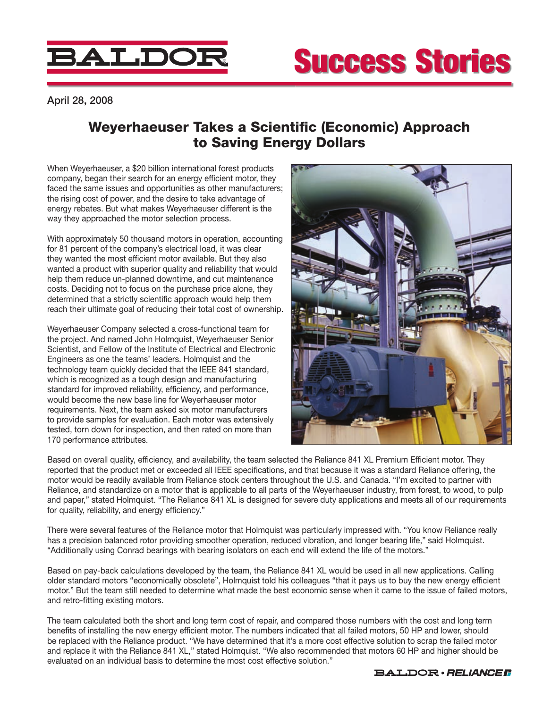

## Success Stories

April 28, 2008

## Weyerhaeuser Takes a Scientific (Economic) Approach to Saving Energy Dollars

When Weyerhaeuser, a \$20 billion international forest products company, began their search for an energy efficient motor, they faced the same issues and opportunities as other manufacturers; the rising cost of power, and the desire to take advantage of energy rebates. But what makes Weyerhaeuser different is the way they approached the motor selection process.

With approximately 50 thousand motors in operation, accounting for 81 percent of the company's electrical load, it was clear they wanted the most efficient motor available. But they also wanted a product with superior quality and reliability that would help them reduce un-planned downtime, and cut maintenance costs. Deciding not to focus on the purchase price alone, they determined that a strictly scientific approach would help them reach their ultimate goal of reducing their total cost of ownership.

Weyerhaeuser Company selected a cross-functional team for the project. And named John Holmquist, Weyerhaeuser Senior Scientist, and Fellow of the Institute of Electrical and Electronic Engineers as one the teams' leaders. Holmquist and the technology team quickly decided that the IEEE 841 standard, which is recognized as a tough design and manufacturing standard for improved reliability, efficiency, and performance, would become the new base line for Weyerhaeuser motor requirements. Next, the team asked six motor manufacturers to provide samples for evaluation. Each motor was extensively tested, torn down for inspection, and then rated on more than 170 performance attributes.



Based on overall quality, efficiency, and availability, the team selected the Reliance 841 XL Premium Efficient motor. They reported that the product met or exceeded all IEEE specifications, and that because it was a standard Reliance offering, the motor would be readily available from Reliance stock centers throughout the U.S. and Canada. "I'm excited to partner with Reliance, and standardize on a motor that is applicable to all parts of the Weyerhaeuser industry, from forest, to wood, to pulp and paper," stated Holmquist. "The Reliance 841 XL is designed for severe duty applications and meets all of our requirements for quality, reliability, and energy efficiency."

There were several features of the Reliance motor that Holmquist was particularly impressed with. "You know Reliance really has a precision balanced rotor providing smoother operation, reduced vibration, and longer bearing life," said Holmquist. "Additionally using Conrad bearings with bearing isolators on each end will extend the life of the motors."

Based on pay-back calculations developed by the team, the Reliance 841 XL would be used in all new applications. Calling older standard motors "economically obsolete", Holmquist told his colleagues "that it pays us to buy the new energy efficient motor." But the team still needed to determine what made the best economic sense when it came to the issue of failed motors, and retro-fitting existing motors.

The team calculated both the short and long term cost of repair, and compared those numbers with the cost and long term benefits of installing the new energy efficient motor. The numbers indicated that all failed motors, 50 HP and lower, should be replaced with the Reliance product. "We have determined that it's a more cost effective solution to scrap the failed motor and replace it with the Reliance 841 XL," stated Holmquist. "We also recommended that motors 60 HP and higher should be evaluated on an individual basis to determine the most cost effective solution."